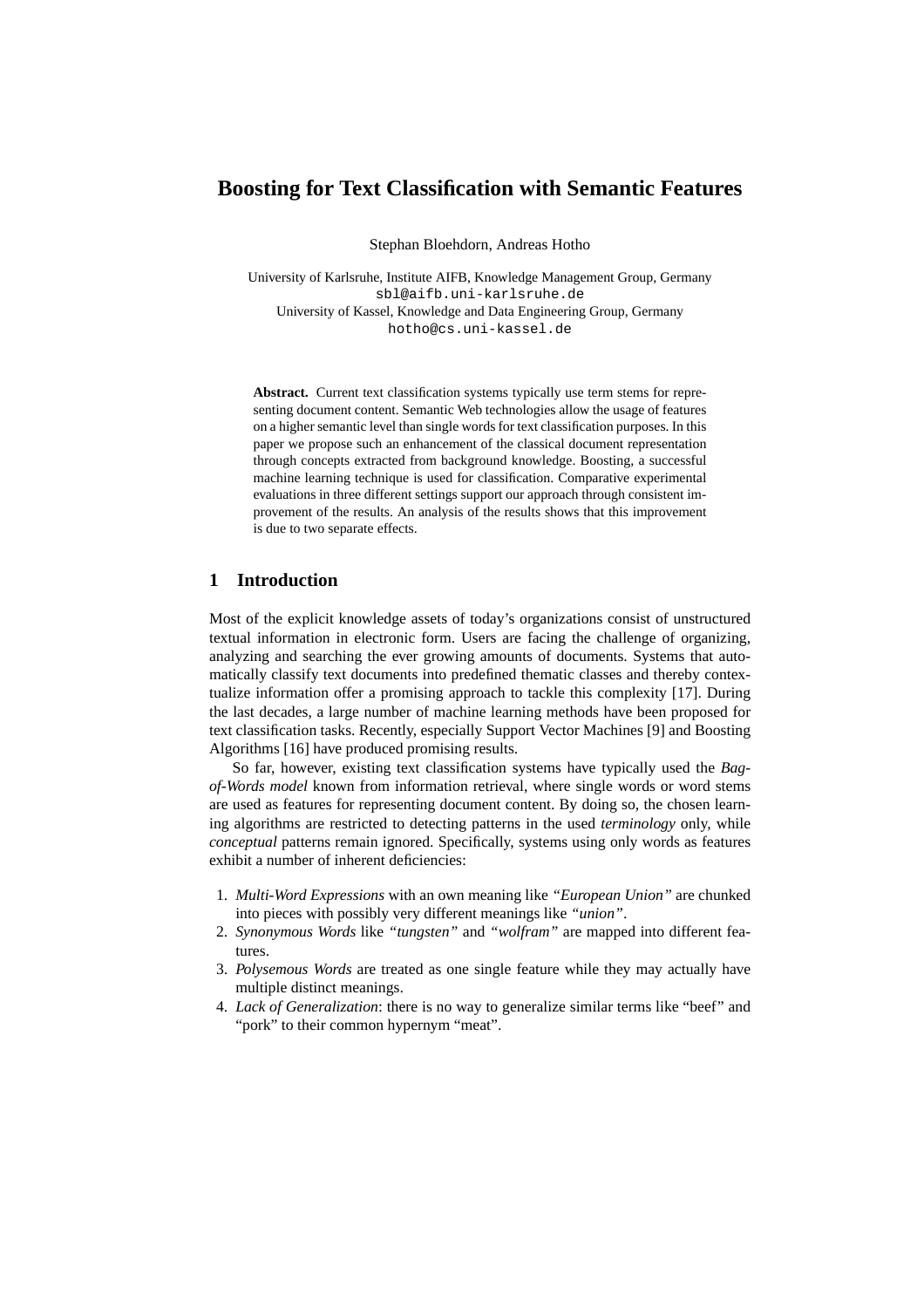# **Boosting for Text Classification with Semantic Features**

Stephan Bloehdorn, Andreas Hotho

University of Karlsruhe, Institute AIFB, Knowledge Management Group, Germany sbl@aifb.uni-karlsruhe.de University of Kassel, Knowledge and Data Engineering Group, Germany hotho@cs.uni-kassel.de

**Abstract.** Current text classification systems typically use term stems for representing document content. Semantic Web technologies allow the usage of features on a higher semantic level than single words for text classification purposes. In this paper we propose such an enhancement of the classical document representation through concepts extracted from background knowledge. Boosting, a successful machine learning technique is used for classification. Comparative experimental evaluations in three different settings support our approach through consistent improvement of the results. An analysis of the results shows that this improvement is due to two separate effects.

# **1 Introduction**

Most of the explicit knowledge assets of today's organizations consist of unstructured textual information in electronic form. Users are facing the challenge of organizing, analyzing and searching the ever growing amounts of documents. Systems that automatically classify text documents into predefined thematic classes and thereby contextualize information offer a promising approach to tackle this complexity [17]. During the last decades, a large number of machine learning methods have been proposed for text classification tasks. Recently, especially Support Vector Machines [9] and Boosting Algorithms [16] have produced promising results.

So far, however, existing text classification systems have typically used the *Bagof-Words model* known from information retrieval, where single words or word stems are used as features for representing document content. By doing so, the chosen learning algorithms are restricted to detecting patterns in the used *terminology* only, while *conceptual* patterns remain ignored. Specifically, systems using only words as features exhibit a number of inherent deficiencies:

- 1. *Multi-Word Expressions* with an own meaning like *"European Union"* are chunked into pieces with possibly very different meanings like *"union"*.
- 2. *Synonymous Words* like *"tungsten"* and *"wolfram"* are mapped into different features.
- 3. *Polysemous Words* are treated as one single feature while they may actually have multiple distinct meanings.
- 4. *Lack of Generalization*: there is no way to generalize similar terms like "beef" and "pork" to their common hypernym "meat".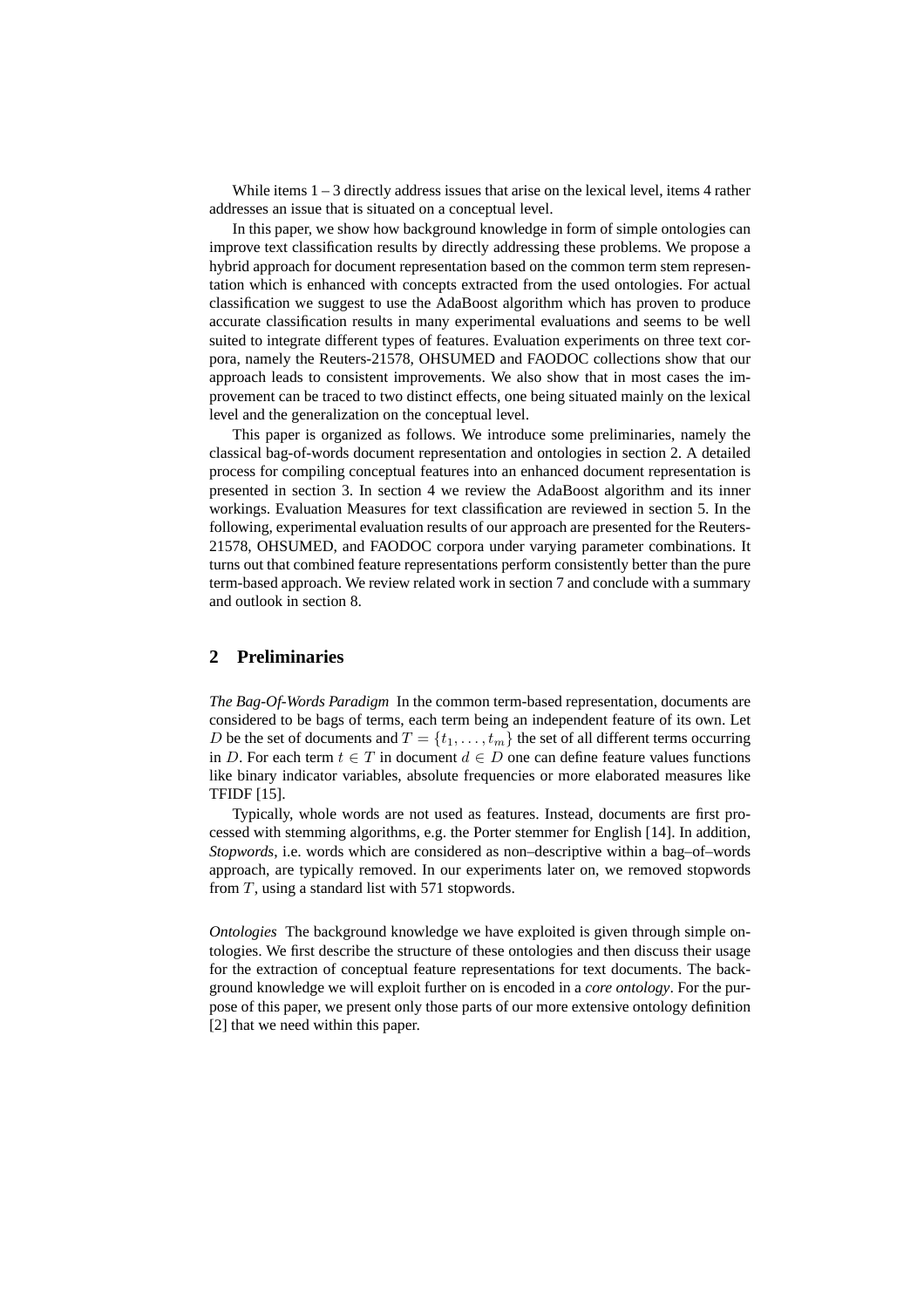While items  $1 - 3$  directly address issues that arise on the lexical level, items 4 rather addresses an issue that is situated on a conceptual level.

In this paper, we show how background knowledge in form of simple ontologies can improve text classification results by directly addressing these problems. We propose a hybrid approach for document representation based on the common term stem representation which is enhanced with concepts extracted from the used ontologies. For actual classification we suggest to use the AdaBoost algorithm which has proven to produce accurate classification results in many experimental evaluations and seems to be well suited to integrate different types of features. Evaluation experiments on three text corpora, namely the Reuters-21578, OHSUMED and FAODOC collections show that our approach leads to consistent improvements. We also show that in most cases the improvement can be traced to two distinct effects, one being situated mainly on the lexical level and the generalization on the conceptual level.

This paper is organized as follows. We introduce some preliminaries, namely the classical bag-of-words document representation and ontologies in section 2. A detailed process for compiling conceptual features into an enhanced document representation is presented in section 3. In section 4 we review the AdaBoost algorithm and its inner workings. Evaluation Measures for text classification are reviewed in section 5. In the following, experimental evaluation results of our approach are presented for the Reuters-21578, OHSUMED, and FAODOC corpora under varying parameter combinations. It turns out that combined feature representations perform consistently better than the pure term-based approach. We review related work in section 7 and conclude with a summary and outlook in section 8.

### **2 Preliminaries**

*The Bag-Of-Words Paradigm* In the common term-based representation, documents are considered to be bags of terms, each term being an independent feature of its own. Let D be the set of documents and  $T = \{t_1, \ldots, t_m\}$  the set of all different terms occurring in D. For each term  $t \in T$  in document  $d \in D$  one can define feature values functions like binary indicator variables, absolute frequencies or more elaborated measures like TFIDF [15].

Typically, whole words are not used as features. Instead, documents are first processed with stemming algorithms, e.g. the Porter stemmer for English [14]. In addition, *Stopwords*, i.e. words which are considered as non–descriptive within a bag–of–words approach, are typically removed. In our experiments later on, we removed stopwords from T, using a standard list with 571 stopwords.

*Ontologies* The background knowledge we have exploited is given through simple ontologies. We first describe the structure of these ontologies and then discuss their usage for the extraction of conceptual feature representations for text documents. The background knowledge we will exploit further on is encoded in a *core ontology*. For the purpose of this paper, we present only those parts of our more extensive ontology definition [2] that we need within this paper.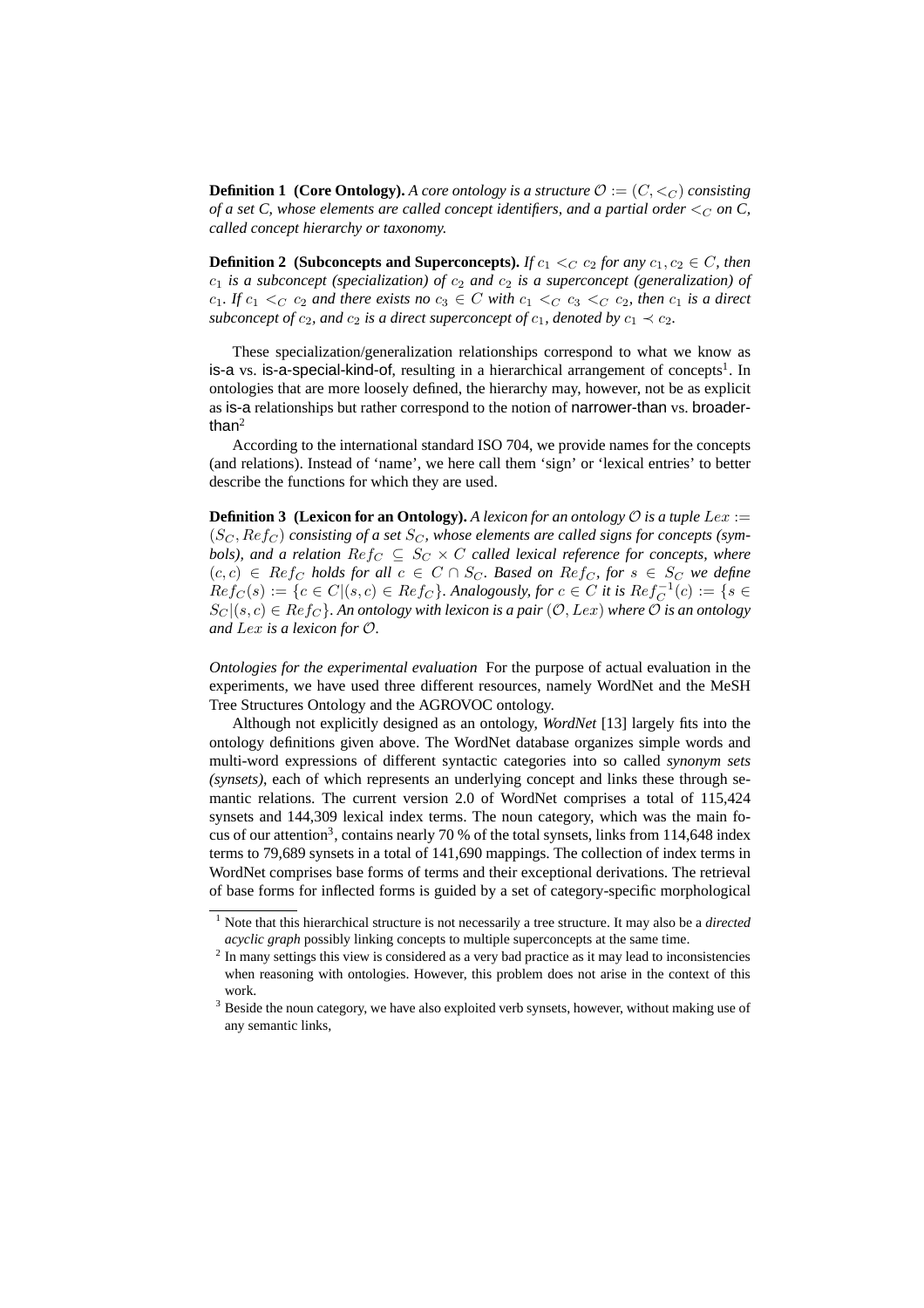**Definition 1 (Core Ontology).** *A core ontology is a structure*  $\mathcal{O} := (C, \langle \cdot \rangle)$  *consisting of a set C, whose elements are called concept identifiers, and a partial order*  $\lt_C$  *on C, called concept hierarchy or taxonomy.*

**Definition 2 (Subconcepts and Superconcepts).** *If*  $c_1 \lt_C c_2$  *for any*  $c_1, c_2 \in C$ *, then*  $c_1$  *is a subconcept (specialization) of*  $c_2$  *and*  $c_2$  *is a superconcept (generalization) of*  $c_1$ *. If*  $c_1 \leq c_2$  *c*<sub>2</sub> *and there exists no*  $c_3 \in C$  *with*  $c_1 \leq c$  *c*<sub>3</sub>  $\leq c$  *c*<sub>2</sub>*, then*  $c_1$  *is a direct subconcept of*  $c_2$ *, and*  $c_2$  *is a direct superconcept of*  $c_1$ *, denoted by*  $c_1 \prec c_2$ *.* 

These specialization/generalization relationships correspond to what we know as is-a vs. is-a-special-kind-of, resulting in a hierarchical arrangement of concepts<sup>1</sup>. In ontologies that are more loosely defined, the hierarchy may, however, not be as explicit as is-a relationships but rather correspond to the notion of narrower-than vs. broaderthan $^2$ 

According to the international standard ISO 704, we provide names for the concepts (and relations). Instead of 'name', we here call them 'sign' or 'lexical entries' to better describe the functions for which they are used.

**Definition 3 (Lexicon for an Ontology).** A lexicon for an ontology  $\mathcal{O}$  is a tuple Lex :=  $(S_C, Ref_C)$  *consisting of a set*  $S_C$ *, whose elements are called signs for concepts (symbols), and a relation*  $Ref_C \subseteq S_C \times C$  *called lexical reference for concepts, where*  $(c, c)$  ∈ Ref<sub>C</sub> holds for all  $c \in C \cap S_C$ . Based on Ref<sub>C</sub>, for  $s \in S_C$  we define  $Ref_C(s) := \{c \in C | (s, c) \in Ref_C\}$ . Analogously, for  $c \in C$  it is  $Ref_C^{-1}(c) := \{s \in C \mid (s, c) \in Ref_C\}$  $S_C | (s, c) \in Ref_C$ . An ontology with lexicon is a pair  $(\mathcal{O}, Lex)$  where  $\mathcal O$  *is an ontology and* Lex *is a lexicon for* O*.*

*Ontologies for the experimental evaluation* For the purpose of actual evaluation in the experiments, we have used three different resources, namely WordNet and the MeSH Tree Structures Ontology and the AGROVOC ontology.

Although not explicitly designed as an ontology, *WordNet* [13] largely fits into the ontology definitions given above. The WordNet database organizes simple words and multi-word expressions of different syntactic categories into so called *synonym sets (synsets)*, each of which represents an underlying concept and links these through semantic relations. The current version 2.0 of WordNet comprises a total of 115,424 synsets and 144,309 lexical index terms. The noun category, which was the main focus of our attention<sup>3</sup>, contains nearly 70 % of the total synsets, links from 114,648 index terms to 79,689 synsets in a total of 141,690 mappings. The collection of index terms in WordNet comprises base forms of terms and their exceptional derivations. The retrieval of base forms for inflected forms is guided by a set of category-specific morphological

<sup>1</sup> Note that this hierarchical structure is not necessarily a tree structure. It may also be a *directed acyclic graph* possibly linking concepts to multiple superconcepts at the same time.

 $2$  In many settings this view is considered as a very bad practice as it may lead to inconsistencies when reasoning with ontologies. However, this problem does not arise in the context of this work.

<sup>&</sup>lt;sup>3</sup> Beside the noun category, we have also exploited verb synsets, however, without making use of any semantic links,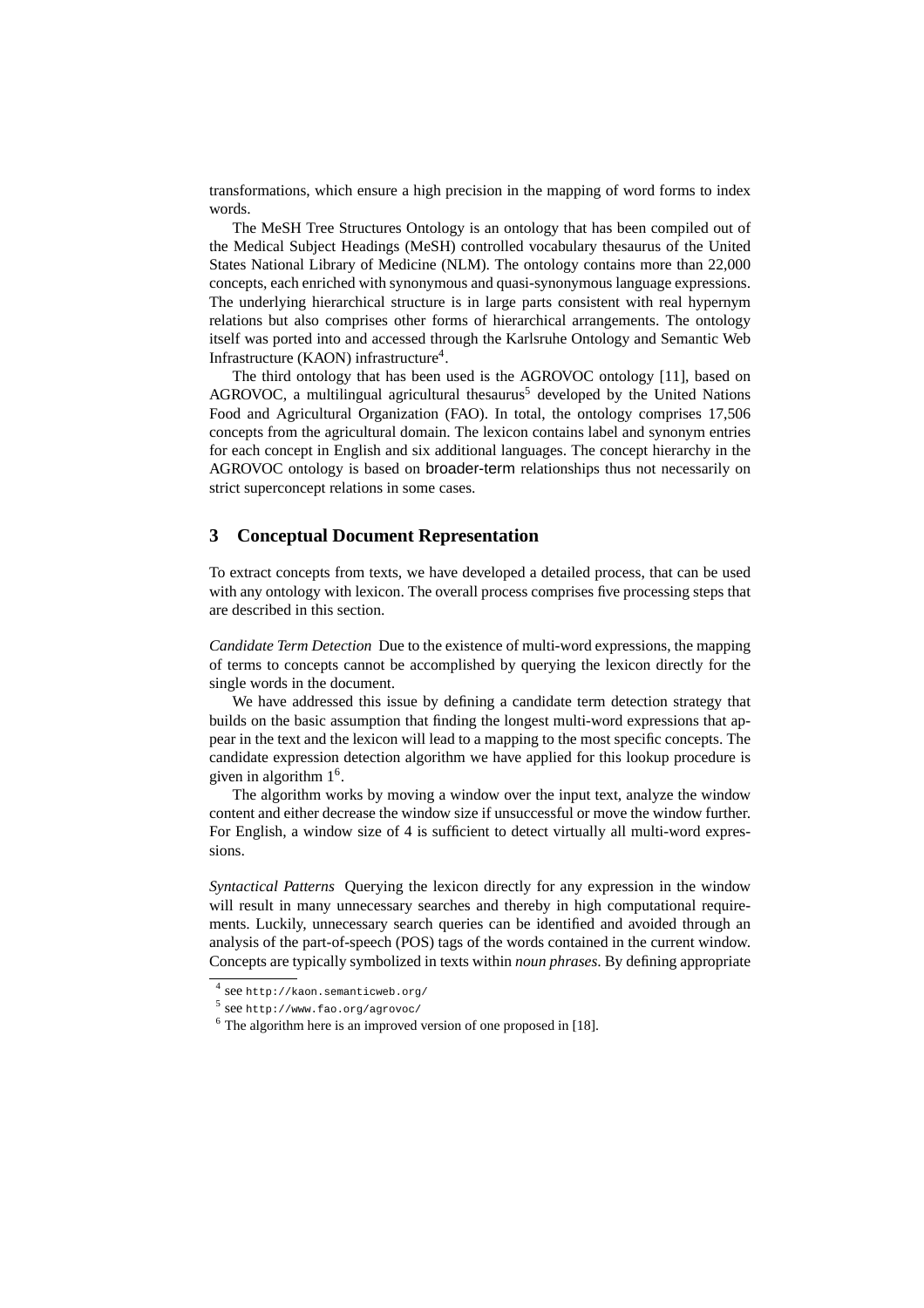transformations, which ensure a high precision in the mapping of word forms to index words.

The MeSH Tree Structures Ontology is an ontology that has been compiled out of the Medical Subject Headings (MeSH) controlled vocabulary thesaurus of the United States National Library of Medicine (NLM). The ontology contains more than 22,000 concepts, each enriched with synonymous and quasi-synonymous language expressions. The underlying hierarchical structure is in large parts consistent with real hypernym relations but also comprises other forms of hierarchical arrangements. The ontology itself was ported into and accessed through the Karlsruhe Ontology and Semantic Web Infrastructure (KAON) infrastructure<sup>4</sup>.

The third ontology that has been used is the AGROVOC ontology [11], based on AGROVOC, a multilingual agricultural thesaurus<sup>5</sup> developed by the United Nations Food and Agricultural Organization (FAO). In total, the ontology comprises 17,506 concepts from the agricultural domain. The lexicon contains label and synonym entries for each concept in English and six additional languages. The concept hierarchy in the AGROVOC ontology is based on broader-term relationships thus not necessarily on strict superconcept relations in some cases.

## **3 Conceptual Document Representation**

To extract concepts from texts, we have developed a detailed process, that can be used with any ontology with lexicon. The overall process comprises five processing steps that are described in this section.

*Candidate Term Detection* Due to the existence of multi-word expressions, the mapping of terms to concepts cannot be accomplished by querying the lexicon directly for the single words in the document.

We have addressed this issue by defining a candidate term detection strategy that builds on the basic assumption that finding the longest multi-word expressions that appear in the text and the lexicon will lead to a mapping to the most specific concepts. The candidate expression detection algorithm we have applied for this lookup procedure is given in algorithm  $1<sup>6</sup>$ .

The algorithm works by moving a window over the input text, analyze the window content and either decrease the window size if unsuccessful or move the window further. For English, a window size of 4 is sufficient to detect virtually all multi-word expressions.

*Syntactical Patterns* Querying the lexicon directly for any expression in the window will result in many unnecessary searches and thereby in high computational requirements. Luckily, unnecessary search queries can be identified and avoided through an analysis of the part-of-speech (POS) tags of the words contained in the current window. Concepts are typically symbolized in texts within *noun phrases*. By defining appropriate

<sup>4</sup> see http://kaon.semanticweb.org/

<sup>5</sup> see http://www.fao.org/agrovoc/

 $6$  The algorithm here is an improved version of one proposed in [18].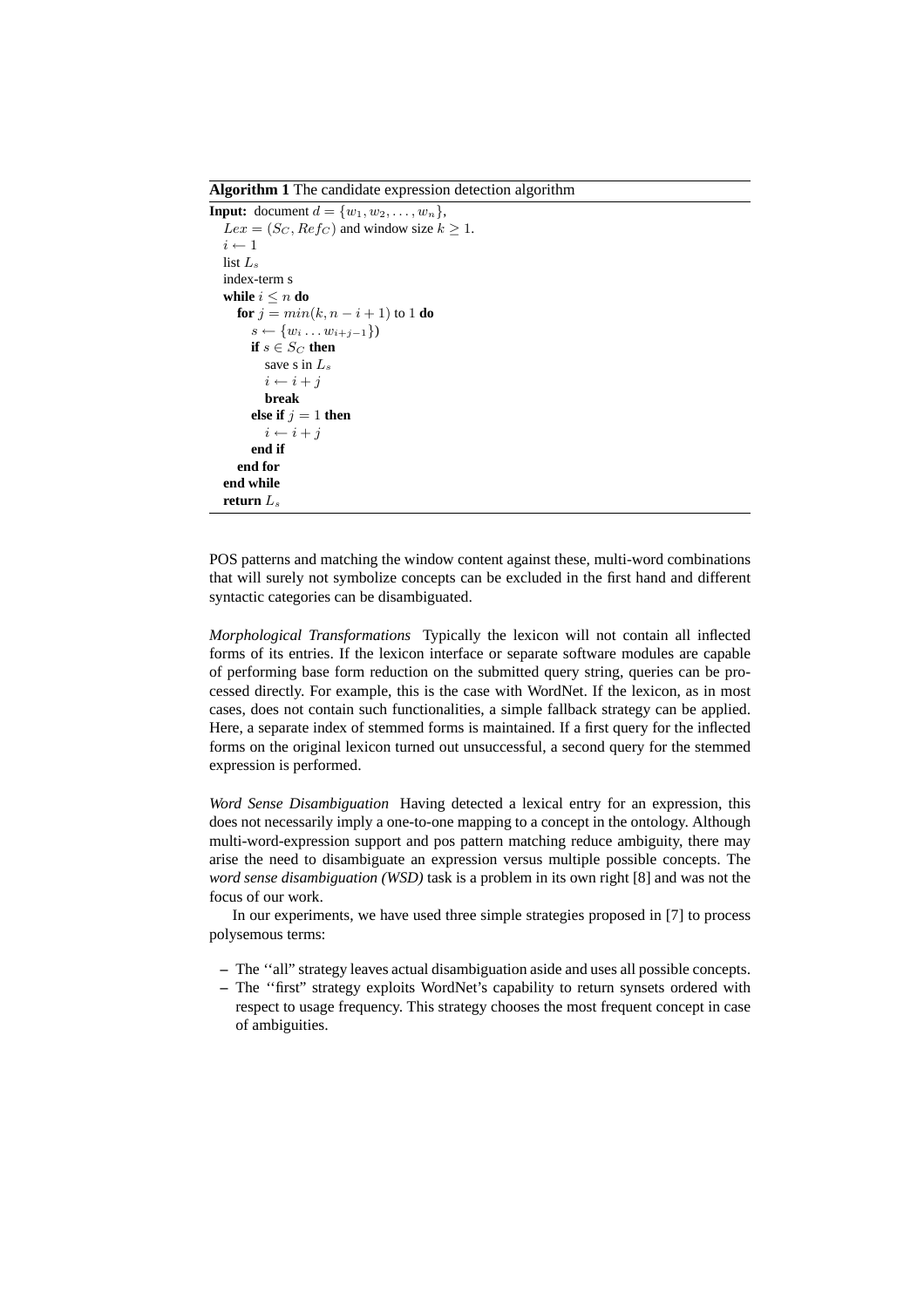**Algorithm 1** The candidate expression detection algorithm

**Input:** document  $d = \{w_1, w_2, ..., w_n\},\$  $Lex = (S_C, Ref_C)$  and window size  $k \geq 1$ .  $i \leftarrow 1$ list  $L_s$ index-term s **while**  $i \leq n$  **do for**  $j = min(k, n - i + 1)$  to 1 **do**  $s \leftarrow \{w_i \dots w_{i+j-1}\}$ **if**  $s \in S_C$  **then** save s in  $L_s$  $i \leftarrow i + j$ **break else** if  $j = 1$  **then**  $i \leftarrow i + j$ **end if end for end while return** L<sup>s</sup>

POS patterns and matching the window content against these, multi-word combinations that will surely not symbolize concepts can be excluded in the first hand and different syntactic categories can be disambiguated.

*Morphological Transformations* Typically the lexicon will not contain all inflected forms of its entries. If the lexicon interface or separate software modules are capable of performing base form reduction on the submitted query string, queries can be processed directly. For example, this is the case with WordNet. If the lexicon, as in most cases, does not contain such functionalities, a simple fallback strategy can be applied. Here, a separate index of stemmed forms is maintained. If a first query for the inflected forms on the original lexicon turned out unsuccessful, a second query for the stemmed expression is performed.

*Word Sense Disambiguation* Having detected a lexical entry for an expression, this does not necessarily imply a one-to-one mapping to a concept in the ontology. Although multi-word-expression support and pos pattern matching reduce ambiguity, there may arise the need to disambiguate an expression versus multiple possible concepts. The *word sense disambiguation (WSD)* task is a problem in its own right [8] and was not the focus of our work.

In our experiments, we have used three simple strategies proposed in [7] to process polysemous terms:

- **–** The *'*'all" strategy leaves actual disambiguation aside and uses all possible concepts.
- **–** The *'*'first" strategy exploits WordNet's capability to return synsets ordered with respect to usage frequency. This strategy chooses the most frequent concept in case of ambiguities.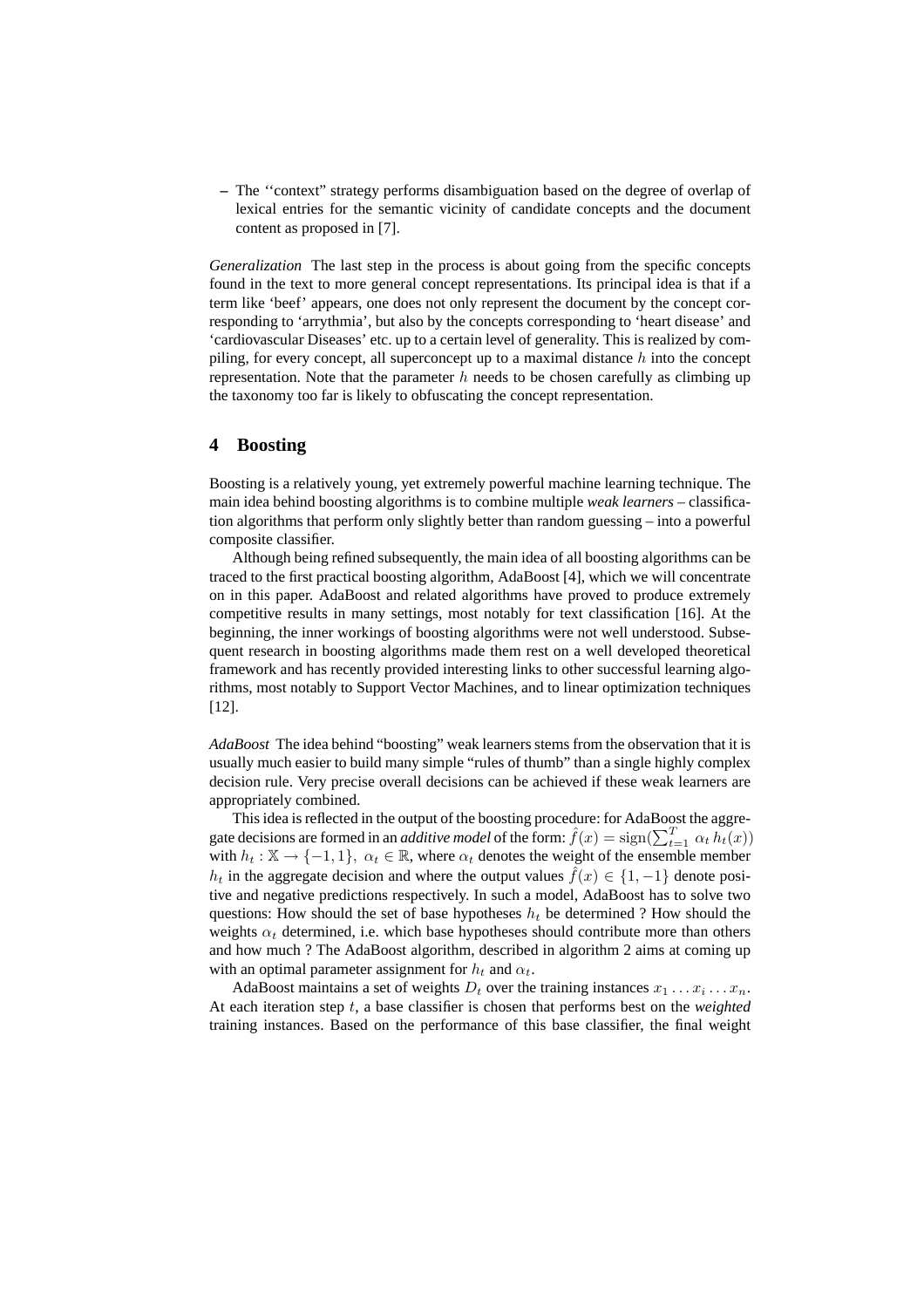**–** The *'*'context" strategy performs disambiguation based on the degree of overlap of lexical entries for the semantic vicinity of candidate concepts and the document content as proposed in [7].

*Generalization* The last step in the process is about going from the specific concepts found in the text to more general concept representations. Its principal idea is that if a term like 'beef' appears, one does not only represent the document by the concept corresponding to 'arrythmia', but also by the concepts corresponding to 'heart disease' and 'cardiovascular Diseases' etc. up to a certain level of generality. This is realized by compiling, for every concept, all superconcept up to a maximal distance  $h$  into the concept representation. Note that the parameter  $h$  needs to be chosen carefully as climbing up the taxonomy too far is likely to obfuscating the concept representation.

## **4 Boosting**

Boosting is a relatively young, yet extremely powerful machine learning technique. The main idea behind boosting algorithms is to combine multiple *weak learners* – classification algorithms that perform only slightly better than random guessing – into a powerful composite classifier.

Although being refined subsequently, the main idea of all boosting algorithms can be traced to the first practical boosting algorithm, AdaBoost [4], which we will concentrate on in this paper. AdaBoost and related algorithms have proved to produce extremely competitive results in many settings, most notably for text classification [16]. At the beginning, the inner workings of boosting algorithms were not well understood. Subsequent research in boosting algorithms made them rest on a well developed theoretical framework and has recently provided interesting links to other successful learning algorithms, most notably to Support Vector Machines, and to linear optimization techniques [12].

*AdaBoost* The idea behind "boosting" weak learners stems from the observation that it is usually much easier to build many simple "rules of thumb" than a single highly complex decision rule. Very precise overall decisions can be achieved if these weak learners are appropriately combined.

This idea is reflected in the output of the boosting procedure: for AdaBoost the aggre-This idea is reflected in the output of the boosting procedure: for Adaboost the aggregate decisions are formed in an *additive model* of the form:  $\hat{f}(x) = sign(\sum_{t=1}^{T} \alpha_t h_t(x))$ with  $h_t : \mathbb{X} \to \{-1,1\}, \ \alpha_t \in \mathbb{R}$ , where  $\alpha_t$  denotes the weight of the ensemble member  $h_t$  in the aggregate decision and where the output values  $\hat{f}(x) \in \{1, -1\}$  denote positive and negative predictions respectively. In such a model, AdaBoost has to solve two questions: How should the set of base hypotheses  $h_t$  be determined ? How should the weights  $\alpha_t$  determined, i.e. which base hypotheses should contribute more than others and how much ? The AdaBoost algorithm, described in algorithm 2 aims at coming up with an optimal parameter assignment for  $h_t$  and  $\alpha_t$ .

AdaBoost maintains a set of weights  $D_t$  over the training instances  $x_1 \dots x_i \dots x_n$ . At each iteration step t, a base classifier is chosen that performs best on the *weighted* training instances. Based on the performance of this base classifier, the final weight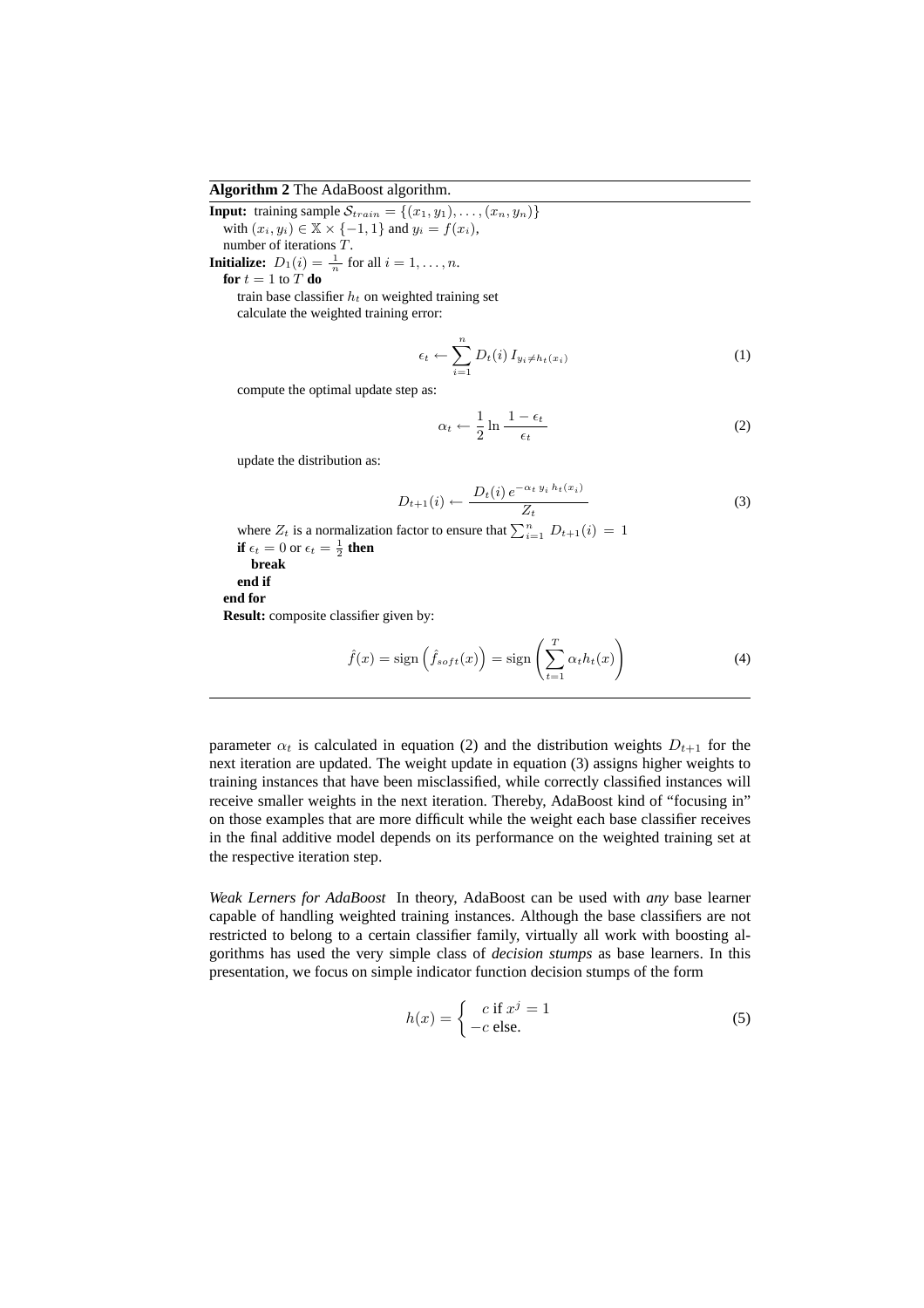### **Algorithm 2** The AdaBoost algorithm.

**Input:** training sample  $\mathcal{S}_{train} = \{(x_1, y_1), \ldots, (x_n, y_n)\}$ with  $(x_i, y_i) \in \mathbb{X} \times \{-1, 1\}$  and  $y_i = f(x_i)$ , number of iterations T. **Initialize:**  $D_1(i) = \frac{1}{n}$  for all  $i = 1, \ldots, n$ .

**for**  $t = 1$  to  $\overline{T}$  **do** 

train base classifier  $h_t$  on weighted training set calculate the weighted training error:

$$
\epsilon_t \leftarrow \sum_{i=1}^n D_t(i) I_{y_i \neq h_t(x_i)}
$$
 (1)

compute the optimal update step as:

$$
\alpha_t \leftarrow \frac{1}{2} \ln \frac{1 - \epsilon_t}{\epsilon_t} \tag{2}
$$

update the distribution as:

$$
D_{t+1}(i) \leftarrow \frac{D_t(i) e^{-\alpha_t y_i h_t(x_i)}}{Z_t} \tag{3}
$$

where  $Z_t$  is a normalization factor to ensure that  $\sum_{i=1}^{n} D_{t+1}(i) = 1$ **if**  $\epsilon_t = 0$  or  $\epsilon_t = \frac{1}{2}$  **then break end if end for Result:** composite classifier given by:

$$
\hat{f}(x) = \text{sign}\left(\hat{f}_{soft}(x)\right) = \text{sign}\left(\sum_{t=1}^{T} \alpha_t h_t(x)\right)
$$
\n(4)

parameter  $\alpha_t$  is calculated in equation (2) and the distribution weights  $D_{t+1}$  for the next iteration are updated. The weight update in equation (3) assigns higher weights to training instances that have been misclassified, while correctly classified instances will receive smaller weights in the next iteration. Thereby, AdaBoost kind of "focusing in" on those examples that are more difficult while the weight each base classifier receives in the final additive model depends on its performance on the weighted training set at the respective iteration step.

*Weak Lerners for AdaBoost* In theory, AdaBoost can be used with *any* base learner capable of handling weighted training instances. Although the base classifiers are not restricted to belong to a certain classifier family, virtually all work with boosting algorithms has used the very simple class of *decision stumps* as base learners. In this presentation, we focus on simple indicator function decision stumps of the form

$$
h(x) = \begin{cases} c \text{ if } x^j = 1\\ -c \text{ else.} \end{cases}
$$
 (5)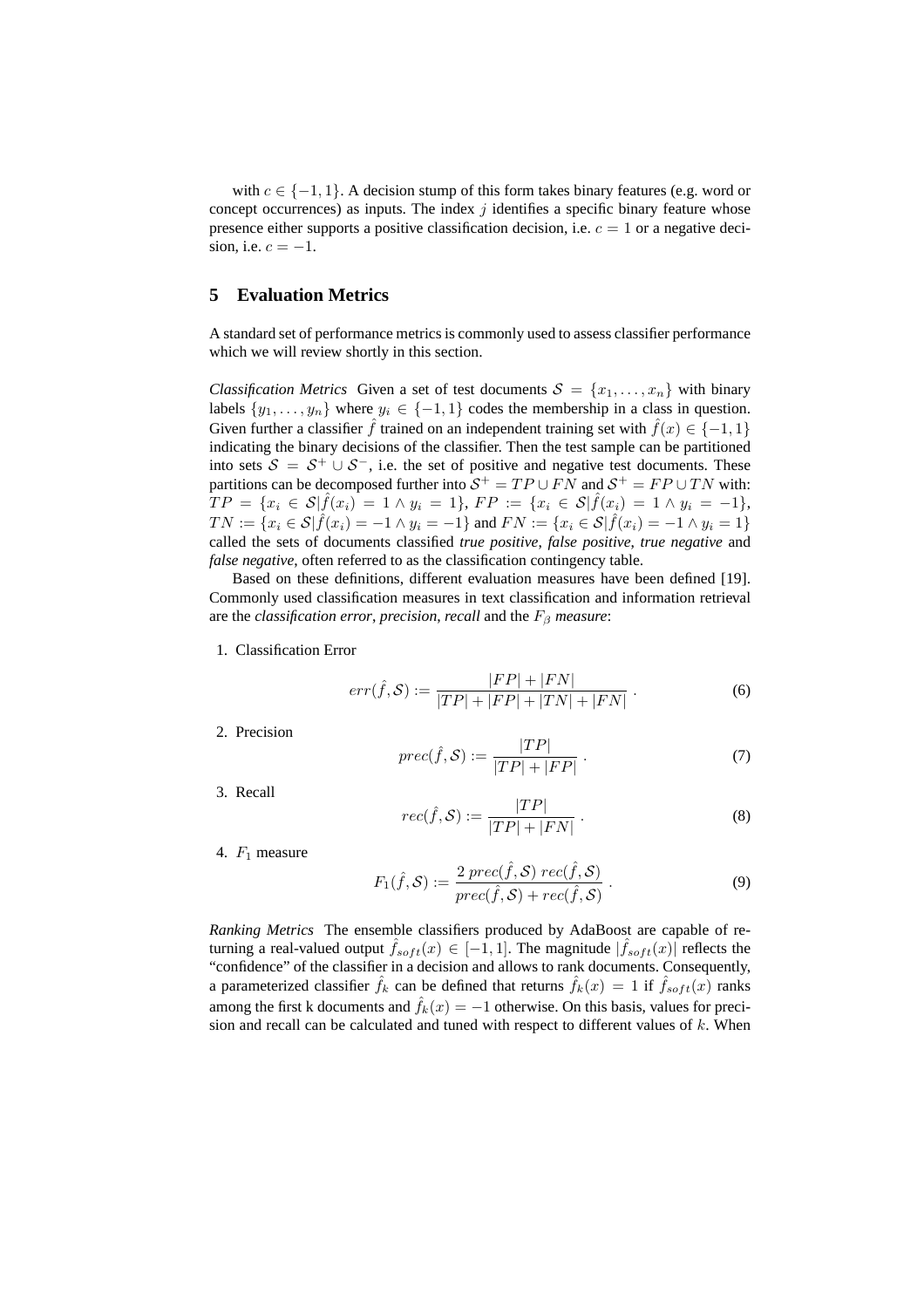with  $c \in \{-1, 1\}$ . A decision stump of this form takes binary features (e.g. word or concept occurrences) as inputs. The index  $j$  identifies a specific binary feature whose presence either supports a positive classification decision, i.e.  $c = 1$  or a negative decision, i.e.  $c = -1$ .

### **5 Evaluation Metrics**

A standard set of performance metrics is commonly used to assess classifier performance which we will review shortly in this section.

*Classification Metrics* Given a set of test documents  $S = \{x_1, \ldots, x_n\}$  with binary labels  $\{y_1, \ldots, y_n\}$  where  $y_i \in \{-1, 1\}$  codes the membership in a class in question. Given further a classifier  $\hat{f}$  trained on an independent training set with  $\hat{f}(x) \in \{-1, 1\}$ indicating the binary decisions of the classifier. Then the test sample can be partitioned into sets  $S = S^+ \cup S^-$ , i.e. the set of positive and negative test documents. These partitions can be decomposed further into  $S^+ = TP \cup FN$  and  $S^+ = FP \cup TN$  with:  $TP = \{x_i \in \mathcal{S} | \hat{f}(x_i) = 1 \land y_i = 1\}, FP := \{x_i \in \mathcal{S} | \hat{f}(x_i) = 1 \land y_i = -1\},\$  $TN := \{x_i \in S | \hat{f}(x_i) = -1 \land y_i = -1 \}$  and  $FN := \{x_i \in S | \hat{f}(x_i) = -1 \land y_i = 1 \}$ called the sets of documents classified *true positive*, *false positive*, *true negative* and *false negative*, often referred to as the classification contingency table.

Based on these definitions, different evaluation measures have been defined [19]. Commonly used classification measures in text classification and information retrieval are the *classification error*, *precision*, *recall* and the  $F_\beta$  *measure*:

1. Classification Error

$$
err(\hat{f}, \mathcal{S}) := \frac{|FP| + |FN|}{|TP| + |FP| + |TN| + |FN|}.
$$
 (6)

2. Precision

$$
prec(\hat{f}, \mathcal{S}) := \frac{|TP|}{|TP| + |FP|} \,. \tag{7}
$$

3. Recall

$$
rec(\hat{f}, \mathcal{S}) := \frac{|TP|}{|TP| + |FN|} \,. \tag{8}
$$

4.  $F_1$  measure

$$
F_1(\hat{f}, \mathcal{S}) := \frac{2 \, \text{prec}(\hat{f}, \mathcal{S}) \, \text{rec}(\hat{f}, \mathcal{S})}{\text{prec}(\hat{f}, \mathcal{S}) + \text{rec}(\hat{f}, \mathcal{S})} \,. \tag{9}
$$

*Ranking Metrics* The ensemble classifiers produced by AdaBoost are capable of returning a real-valued output  $\hat{f}_{soft}(x) \in [-1, 1]$ . The magnitude  $|\hat{f}_{soft}(x)|$  reflects the "confidence" of the classifier in a decision and allows to rank documents. Consequently, a parameterized classifier  $\hat{f}_k$  can be defined that returns  $\hat{f}_k(x) = 1$  if  $\hat{f}_{soft}(x)$  ranks among the first k documents and  $\hat{f}_k(x) = -1$  otherwise. On this basis, values for precision and recall can be calculated and tuned with respect to different values of  $k$ . When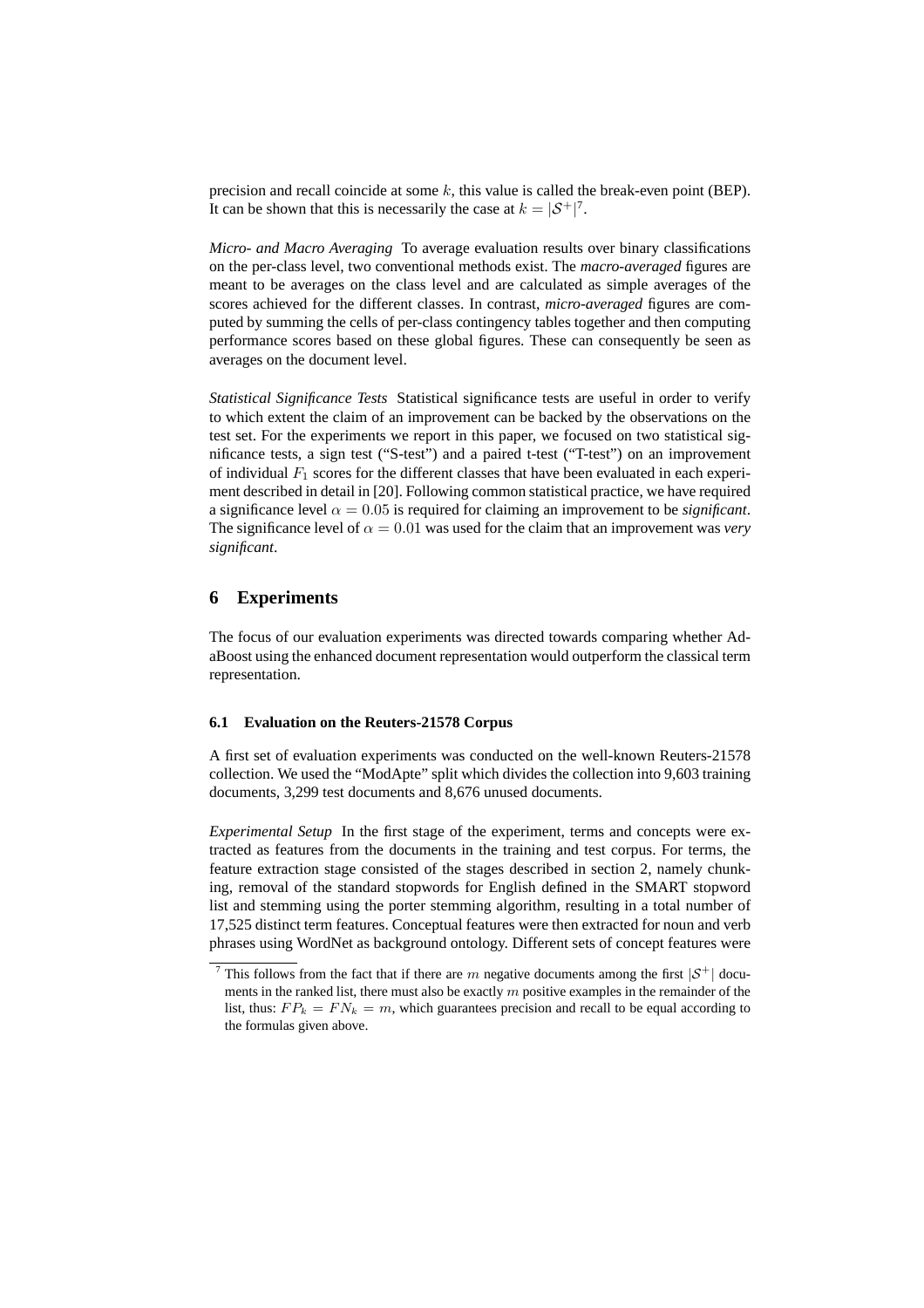precision and recall coincide at some  $k$ , this value is called the break-even point (BEP). It can be shown that this is necessarily the case at  $k = |\mathcal{S}^+|^7$ .

*Micro- and Macro Averaging* To average evaluation results over binary classifications on the per-class level, two conventional methods exist. The *macro-averaged* figures are meant to be averages on the class level and are calculated as simple averages of the scores achieved for the different classes. In contrast, *micro-averaged* figures are computed by summing the cells of per-class contingency tables together and then computing performance scores based on these global figures. These can consequently be seen as averages on the document level.

*Statistical Significance Tests* Statistical significance tests are useful in order to verify to which extent the claim of an improvement can be backed by the observations on the test set. For the experiments we report in this paper, we focused on two statistical significance tests, a sign test ("S-test") and a paired t-test ("T-test") on an improvement of individual  $F_1$  scores for the different classes that have been evaluated in each experiment described in detail in [20]. Following common statistical practice, we have required a significance level  $\alpha = 0.05$  is required for claiming an improvement to be *significant*. The significance level of  $\alpha = 0.01$  was used for the claim that an improvement was *very significant*.

## **6 Experiments**

The focus of our evaluation experiments was directed towards comparing whether AdaBoost using the enhanced document representation would outperform the classical term representation.

### **6.1 Evaluation on the Reuters-21578 Corpus**

A first set of evaluation experiments was conducted on the well-known Reuters-21578 collection. We used the "ModApte" split which divides the collection into 9,603 training documents, 3,299 test documents and 8,676 unused documents.

*Experimental Setup* In the first stage of the experiment, terms and concepts were extracted as features from the documents in the training and test corpus. For terms, the feature extraction stage consisted of the stages described in section 2, namely chunking, removal of the standard stopwords for English defined in the SMART stopword list and stemming using the porter stemming algorithm, resulting in a total number of 17,525 distinct term features. Conceptual features were then extracted for noun and verb phrases using WordNet as background ontology. Different sets of concept features were

<sup>&</sup>lt;sup>7</sup> This follows from the fact that if there are m negative documents among the first  $|S^+|$  documents in the ranked list, there must also be exactly  $m$  positive examples in the remainder of the list, thus:  $FP_k = FN_k = m$ , which guarantees precision and recall to be equal according to the formulas given above.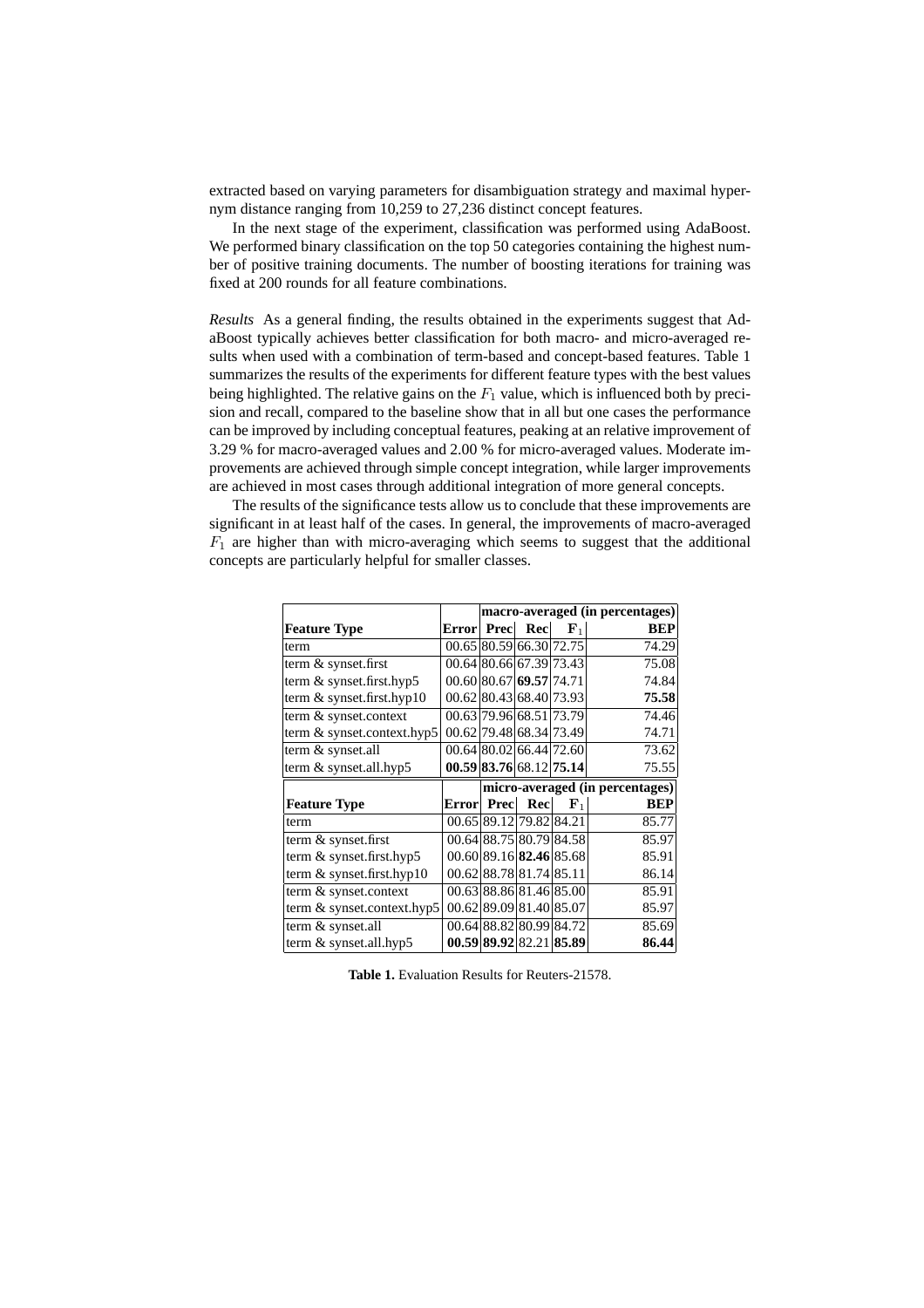extracted based on varying parameters for disambiguation strategy and maximal hypernym distance ranging from 10,259 to 27,236 distinct concept features.

In the next stage of the experiment, classification was performed using AdaBoost. We performed binary classification on the top 50 categories containing the highest number of positive training documents. The number of boosting iterations for training was fixed at 200 rounds for all feature combinations.

*Results* As a general finding, the results obtained in the experiments suggest that AdaBoost typically achieves better classification for both macro- and micro-averaged results when used with a combination of term-based and concept-based features. Table 1 summarizes the results of the experiments for different feature types with the best values being highlighted. The relative gains on the  $F_1$  value, which is influenced both by precision and recall, compared to the baseline show that in all but one cases the performance can be improved by including conceptual features, peaking at an relative improvement of 3.29 % for macro-averaged values and 2.00 % for micro-averaged values. Moderate improvements are achieved through simple concept integration, while larger improvements are achieved in most cases through additional integration of more general concepts.

The results of the significance tests allow us to conclude that these improvements are significant in at least half of the cases. In general, the improvements of macro-averaged  $F_1$  are higher than with micro-averaging which seems to suggest that the additional concepts are particularly helpful for smaller classes.

|                              |             | macro-averaged (in percentages) |                                |             |            |  |  |
|------------------------------|-------------|---------------------------------|--------------------------------|-------------|------------|--|--|
| <b>Feature Type</b>          | Error  Prec |                                 | Rec                            | ${\bf F}_1$ | <b>BEP</b> |  |  |
| term                         |             |                                 | 00.65 80.59 66.30 72.75        |             | 74.29      |  |  |
| term & synset.first          |             |                                 | 00.64 80.66 67.39 73.43        |             | 75.08      |  |  |
| term & synset.first.hyp5     |             |                                 | 00.60 80.67 69.57 74.71        |             | 74.84      |  |  |
| term $&$ synset.first.hyp10  |             |                                 | 00.62 80.43 68.40 73.93        |             | 75.58      |  |  |
| term & synset.context        |             |                                 | 00.63 79.96 68.51 73.79        |             | 74.46      |  |  |
| term & synset.context.hyp5   |             |                                 | 00.62 79.48 68.34 73.49        |             | 74.71      |  |  |
| term & synset.all            |             |                                 | 00.64 80.02 66.44 72.60        |             | 73.62      |  |  |
| term & synset.all.hyp5       |             |                                 | 00.59 83.76 68.12 75.14        |             | 75.55      |  |  |
|                              |             | micro-averaged (in percentages) |                                |             |            |  |  |
| <b>Feature Type</b>          |             | Error  Prec                     | Rec                            | ${\bf F}_1$ | <b>BEP</b> |  |  |
| term                         |             |                                 | 00.65 89.12 79.82 84.21        |             | 85.77      |  |  |
| term & synset.first          |             |                                 | 00.64 88.75 80.79 84.58        |             | 85.97      |  |  |
| term & synset.first.hyp5     |             |                                 | 00.60 89.16 <b>82.46</b> 85.68 |             | 85.91      |  |  |
| term & synset.first.hyp10    |             |                                 | 00.62 88.78 81.74 85.11        |             | 86.14      |  |  |
| term & synset.context        |             |                                 | 00.63 88.86 81.46 85.00        |             | 85.91      |  |  |
|                              |             |                                 |                                |             |            |  |  |
| term $&$ synset.context.hyp5 |             |                                 | 00.62 89.09 81.40 85.07        |             | 85.97      |  |  |
| term & synset.all            |             |                                 | 00.64 88.82 80.99 84.72        |             | 85.69      |  |  |

**Table 1.** Evaluation Results for Reuters-21578.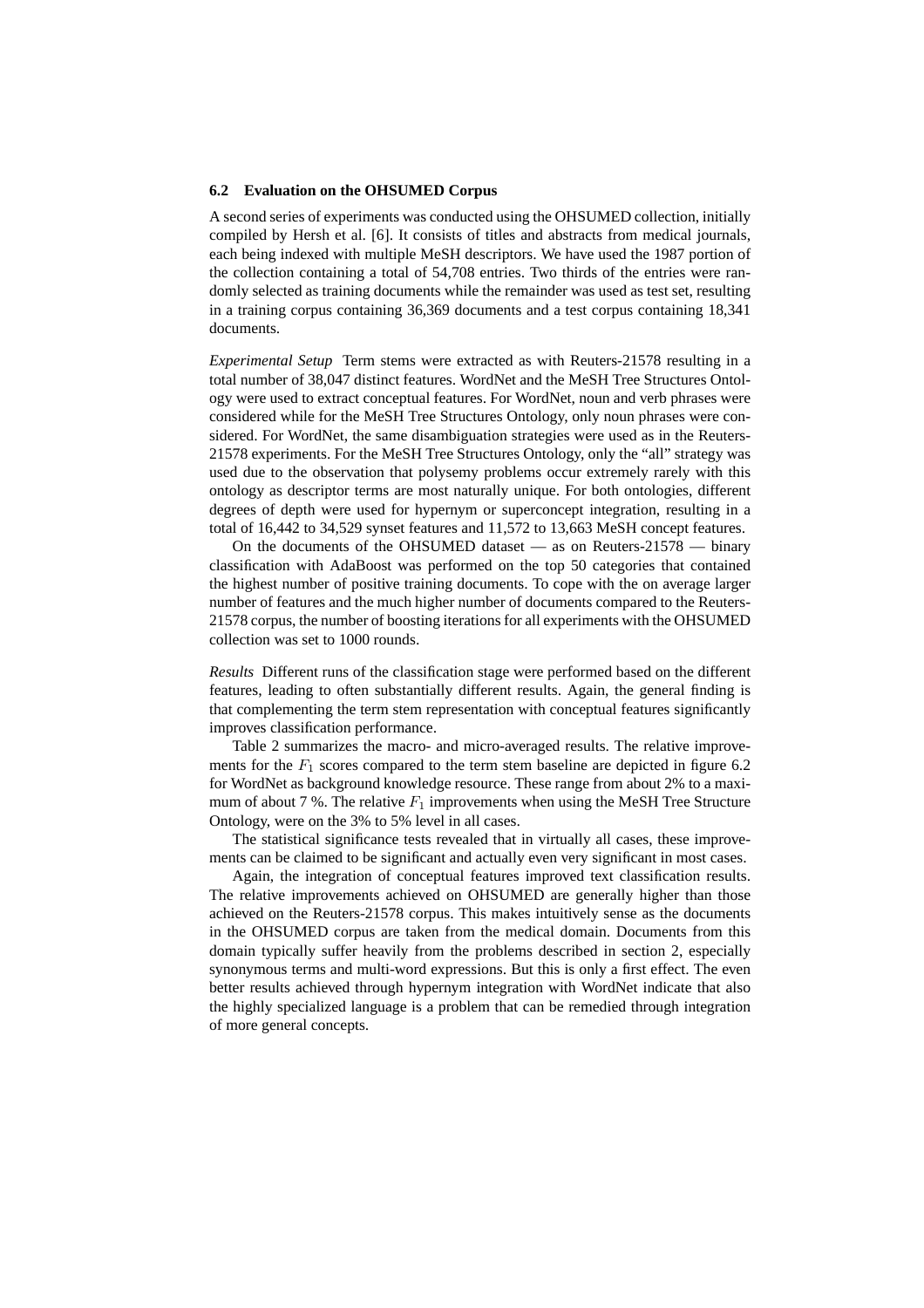#### **6.2 Evaluation on the OHSUMED Corpus**

A second series of experiments was conducted using the OHSUMED collection, initially compiled by Hersh et al. [6]. It consists of titles and abstracts from medical journals, each being indexed with multiple MeSH descriptors. We have used the 1987 portion of the collection containing a total of 54,708 entries. Two thirds of the entries were randomly selected as training documents while the remainder was used as test set, resulting in a training corpus containing 36,369 documents and a test corpus containing 18,341 documents.

*Experimental Setup* Term stems were extracted as with Reuters-21578 resulting in a total number of 38,047 distinct features. WordNet and the MeSH Tree Structures Ontology were used to extract conceptual features. For WordNet, noun and verb phrases were considered while for the MeSH Tree Structures Ontology, only noun phrases were considered. For WordNet, the same disambiguation strategies were used as in the Reuters-21578 experiments. For the MeSH Tree Structures Ontology, only the "all" strategy was used due to the observation that polysemy problems occur extremely rarely with this ontology as descriptor terms are most naturally unique. For both ontologies, different degrees of depth were used for hypernym or superconcept integration, resulting in a total of 16,442 to 34,529 synset features and 11,572 to 13,663 MeSH concept features.

On the documents of the OHSUMED dataset — as on Reuters-21578 — binary classification with AdaBoost was performed on the top 50 categories that contained the highest number of positive training documents. To cope with the on average larger number of features and the much higher number of documents compared to the Reuters-21578 corpus, the number of boosting iterations for all experiments with the OHSUMED collection was set to 1000 rounds.

*Results* Different runs of the classification stage were performed based on the different features, leading to often substantially different results. Again, the general finding is that complementing the term stem representation with conceptual features significantly improves classification performance.

Table 2 summarizes the macro- and micro-averaged results. The relative improvements for the  $F_1$  scores compared to the term stem baseline are depicted in figure 6.2 for WordNet as background knowledge resource. These range from about 2% to a maximum of about 7 %. The relative  $F_1$  improvements when using the MeSH Tree Structure Ontology, were on the 3% to 5% level in all cases.

The statistical significance tests revealed that in virtually all cases, these improvements can be claimed to be significant and actually even very significant in most cases.

Again, the integration of conceptual features improved text classification results. The relative improvements achieved on OHSUMED are generally higher than those achieved on the Reuters-21578 corpus. This makes intuitively sense as the documents in the OHSUMED corpus are taken from the medical domain. Documents from this domain typically suffer heavily from the problems described in section 2, especially synonymous terms and multi-word expressions. But this is only a first effect. The even better results achieved through hypernym integration with WordNet indicate that also the highly specialized language is a problem that can be remedied through integration of more general concepts.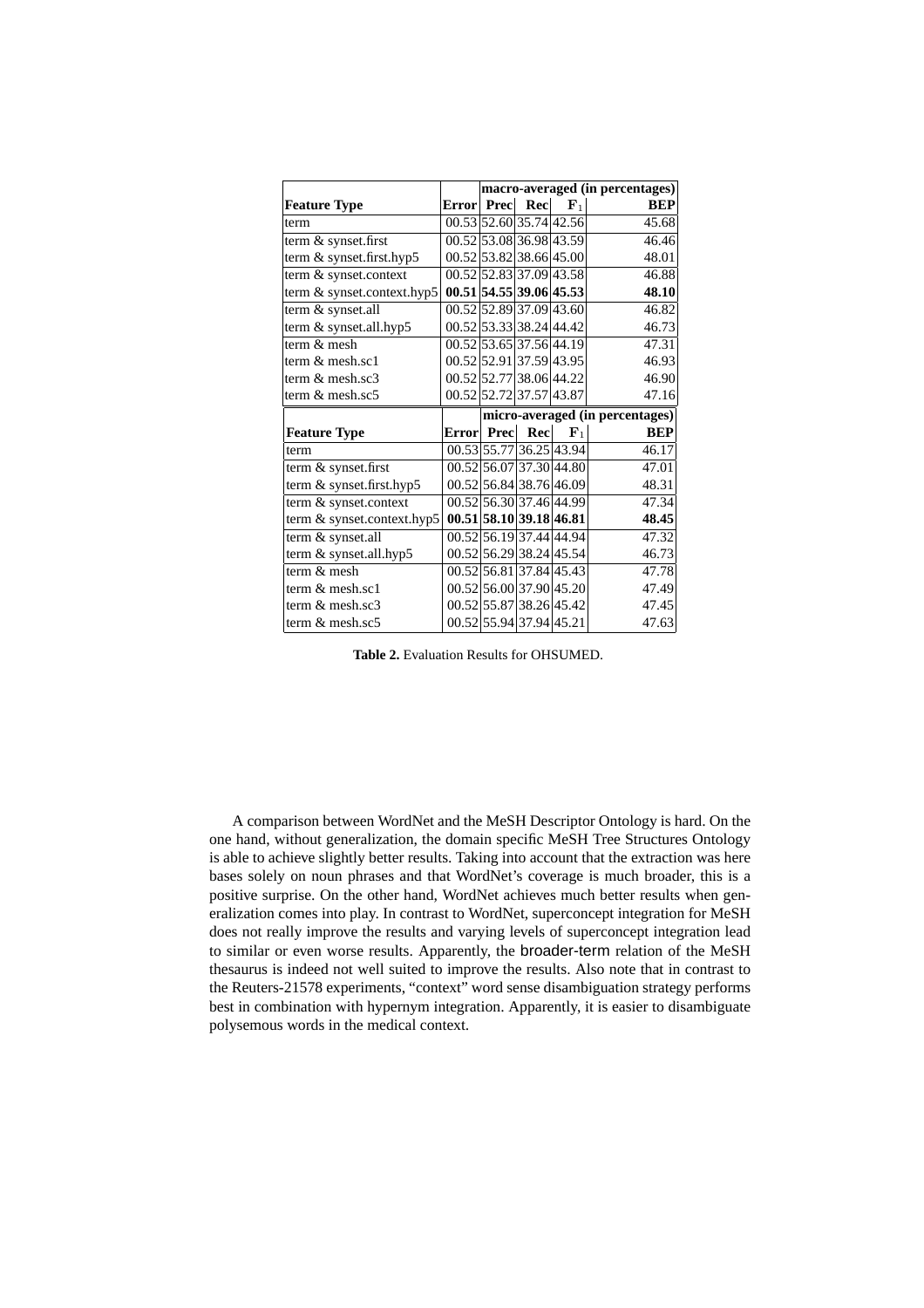|                              |            | macro-averaged (in percentages) |     |             |            |  |  |  |
|------------------------------|------------|---------------------------------|-----|-------------|------------|--|--|--|
| <b>Feature Type</b>          | Error Prec |                                 | Rec | ${\bf F}_1$ | <b>BEP</b> |  |  |  |
| term                         |            | 00.53 52.60 35.74 42.56         |     |             | 45.68      |  |  |  |
| term & synset.first          |            | 00.52 53.08 36.98 43.59         |     |             | 46.46      |  |  |  |
| term & synset.first.hyp5     |            | 00.52 53.82 38.66 45.00         |     |             | 48.01      |  |  |  |
| term & synset.context        |            | 00.52 52.83 37.09 43.58         |     |             | 46.88      |  |  |  |
| term $&$ synset.context.hyp5 |            | 00.51 54.55 39.06 45.53         |     |             | 48.10      |  |  |  |
| term & synset.all            |            | 00.52 52.89 37.09 43.60         |     |             | 46.82      |  |  |  |
| term & synset.all.hyp5       |            | 00.52 53.33 38.24 44.42         |     |             | 46.73      |  |  |  |
| term & mesh                  |            | 00.52 53.65 37.56 44.19         |     |             | 47.31      |  |  |  |
| term $&$ mesh.sc1            |            | 00.52 52.91 37.59 43.95         |     |             | 46.93      |  |  |  |
| term $\&$ mesh.sc3           |            | 00.52 52.77 38.06 44.22         |     |             | 46.90      |  |  |  |
| term & mesh.sc5              |            | 00.52 52.72 37.57 43.87         |     |             | 47.16      |  |  |  |
|                              |            | micro-averaged (in percentages) |     |             |            |  |  |  |
|                              |            |                                 |     |             |            |  |  |  |
| <b>Feature Type</b>          |            | Error  Prec                     | Rec | ${\bf F}_1$ | <b>BEP</b> |  |  |  |
| term                         |            | 00.53 55.77 36.25 43.94         |     |             | 46.17      |  |  |  |
| term & synset.first          |            | 00.52 56.07 37.30 44.80         |     |             | 47.01      |  |  |  |
| term & synset.first.hyp5     |            | 00.52 56.84 38.76 46.09         |     |             | 48.31      |  |  |  |
| term & synset.context        |            | 00.52 56.30 37.46 44.99         |     |             | 47.34      |  |  |  |
| term & synset.context.hyp5   |            | 00.51 58.10 39.18 46.81         |     |             | 48.45      |  |  |  |
| term & synset.all            |            | 00.52 56.19 37.44 44.94         |     |             | 47.32      |  |  |  |
| term & synset.all.hyp5       |            | 00.52 56.29 38.24 45.54         |     |             | 46.73      |  |  |  |
| term $&$ mesh                |            | 00.52 56.81 37.84 45.43         |     |             | 47.78      |  |  |  |
| term $&$ mesh.sc1            |            | 00.52 56.00 37.90 45.20         |     |             | 47.49      |  |  |  |
| term $\&$ mesh.sc3           |            | 00.52 55.87 38.26 45.42         |     |             | 47.45      |  |  |  |

**Table 2.** Evaluation Results for OHSUMED.

A comparison between WordNet and the MeSH Descriptor Ontology is hard. On the one hand, without generalization, the domain specific MeSH Tree Structures Ontology is able to achieve slightly better results. Taking into account that the extraction was here bases solely on noun phrases and that WordNet's coverage is much broader, this is a positive surprise. On the other hand, WordNet achieves much better results when generalization comes into play. In contrast to WordNet, superconcept integration for MeSH does not really improve the results and varying levels of superconcept integration lead to similar or even worse results. Apparently, the broader-term relation of the MeSH thesaurus is indeed not well suited to improve the results. Also note that in contrast to the Reuters-21578 experiments, "context" word sense disambiguation strategy performs best in combination with hypernym integration. Apparently, it is easier to disambiguate polysemous words in the medical context.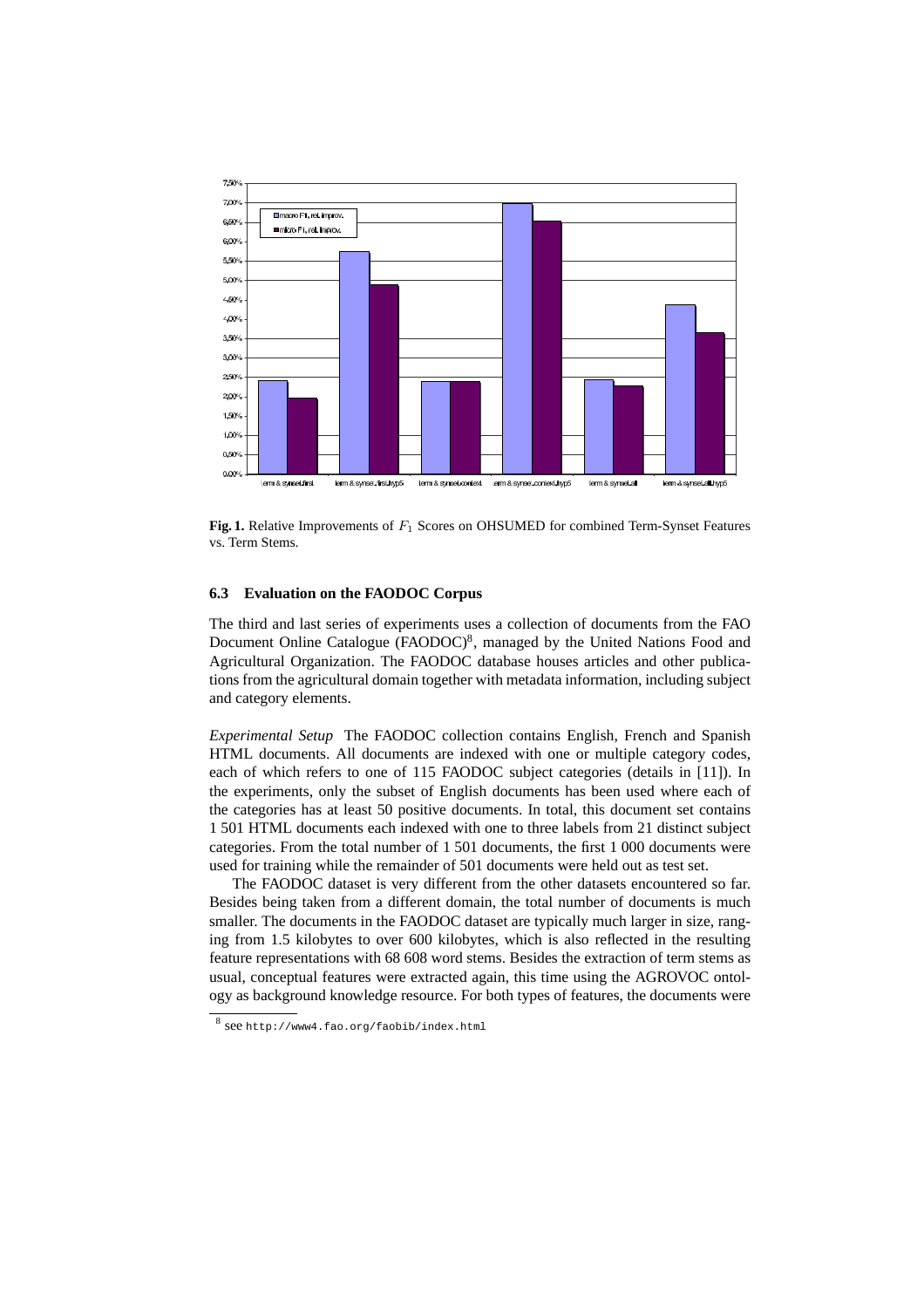

**Fig. 1.** Relative Improvements of  $F_1$  Scores on OHSUMED for combined Term-Synset Features vs. Term Stems.

### **6.3 Evaluation on the FAODOC Corpus**

The third and last series of experiments uses a collection of documents from the FAO Document Online Catalogue (FAODOC)<sup>8</sup>, managed by the United Nations Food and Agricultural Organization. The FAODOC database houses articles and other publications from the agricultural domain together with metadata information, including subject and category elements.

*Experimental Setup* The FAODOC collection contains English, French and Spanish HTML documents. All documents are indexed with one or multiple category codes, each of which refers to one of 115 FAODOC subject categories (details in [11]). In the experiments, only the subset of English documents has been used where each of the categories has at least 50 positive documents. In total, this document set contains 1 501 HTML documents each indexed with one to three labels from 21 distinct subject categories. From the total number of 1 501 documents, the first 1 000 documents were used for training while the remainder of 501 documents were held out as test set.

The FAODOC dataset is very different from the other datasets encountered so far. Besides being taken from a different domain, the total number of documents is much smaller. The documents in the FAODOC dataset are typically much larger in size, ranging from 1.5 kilobytes to over 600 kilobytes, which is also reflected in the resulting feature representations with 68 608 word stems. Besides the extraction of term stems as usual, conceptual features were extracted again, this time using the AGROVOC ontology as background knowledge resource. For both types of features, the documents were

<sup>8</sup> see http://www4.fao.org/faobib/index.html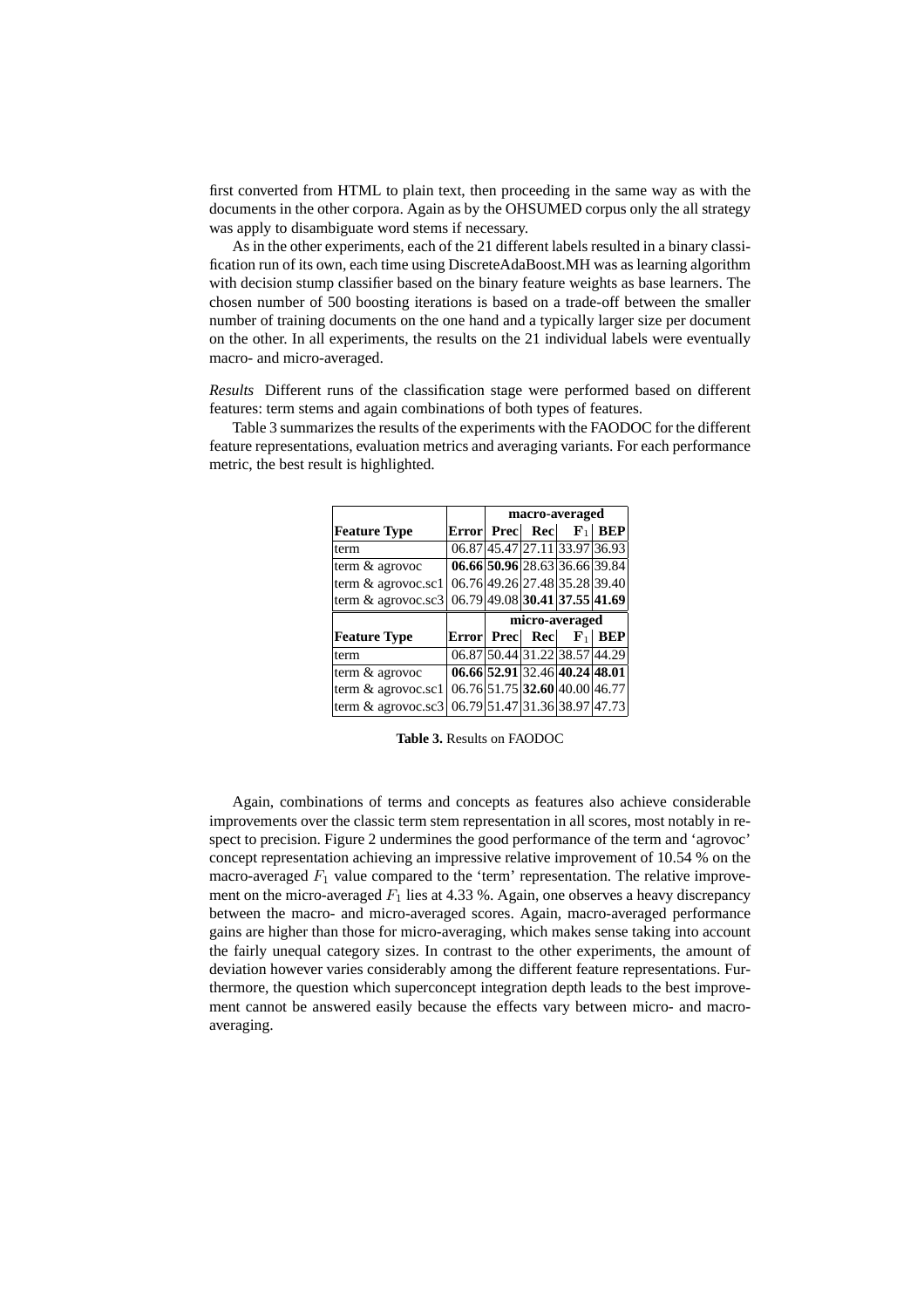first converted from HTML to plain text, then proceeding in the same way as with the documents in the other corpora. Again as by the OHSUMED corpus only the all strategy was apply to disambiguate word stems if necessary.

As in the other experiments, each of the 21 different labels resulted in a binary classification run of its own, each time using DiscreteAdaBoost.MH was as learning algorithm with decision stump classifier based on the binary feature weights as base learners. The chosen number of 500 boosting iterations is based on a trade-off between the smaller number of training documents on the one hand and a typically larger size per document on the other. In all experiments, the results on the 21 individual labels were eventually macro- and micro-averaged.

*Results* Different runs of the classification stage were performed based on different features: term stems and again combinations of both types of features.

|                       |                       | macro-averaged |                               |                |            |  |  |
|-----------------------|-----------------------|----------------|-------------------------------|----------------|------------|--|--|
| <b>Feature Type</b>   | Error Prec Rec        |                |                               |                | $F_1$ BEP  |  |  |
| term                  |                       |                | 06.87 45.47 27.11 33.97 36.93 |                |            |  |  |
| term & agrovoc        |                       |                | 06.66 50.96 28.63 36.66 39.84 |                |            |  |  |
| term & agrovoc.sc1    |                       |                | 06.76 49.26 27.48 35.28 39.40 |                |            |  |  |
| term $\&$ agrovoc.sc3 |                       |                | 06.79 49.08 30.41 37.55 41.69 |                |            |  |  |
|                       |                       | micro-averaged |                               |                |            |  |  |
| <b>Feature Type</b>   | <b>Error Prec Rec</b> |                |                               | $\mathbf{F}_1$ | <b>BEP</b> |  |  |
| term                  |                       |                | 06.87 50.44 31.22 38.57 44.29 |                |            |  |  |
| term & agrovoc        |                       |                | 06.66 52.91 32.46 40.24 48.01 |                |            |  |  |
| term $&$ agrovoc.sc1  |                       |                | 06.76 51.75 32.60 40.00 46.77 |                |            |  |  |
| term $\&$ agrovoc.sc3 |                       |                | 06.79 51.47 31.36 38.97 47.73 |                |            |  |  |

Table 3 summarizes the results of the experiments with the FAODOC for the different feature representations, evaluation metrics and averaging variants. For each performance metric, the best result is highlighted.

**Table 3.** Results on FAODOC

Again, combinations of terms and concepts as features also achieve considerable improvements over the classic term stem representation in all scores, most notably in respect to precision. Figure 2 undermines the good performance of the term and 'agrovoc' concept representation achieving an impressive relative improvement of 10.54 % on the macro-averaged  $F_1$  value compared to the 'term' representation. The relative improvement on the micro-averaged  $F_1$  lies at 4.33 %. Again, one observes a heavy discrepancy between the macro- and micro-averaged scores. Again, macro-averaged performance gains are higher than those for micro-averaging, which makes sense taking into account the fairly unequal category sizes. In contrast to the other experiments, the amount of deviation however varies considerably among the different feature representations. Furthermore, the question which superconcept integration depth leads to the best improvement cannot be answered easily because the effects vary between micro- and macroaveraging.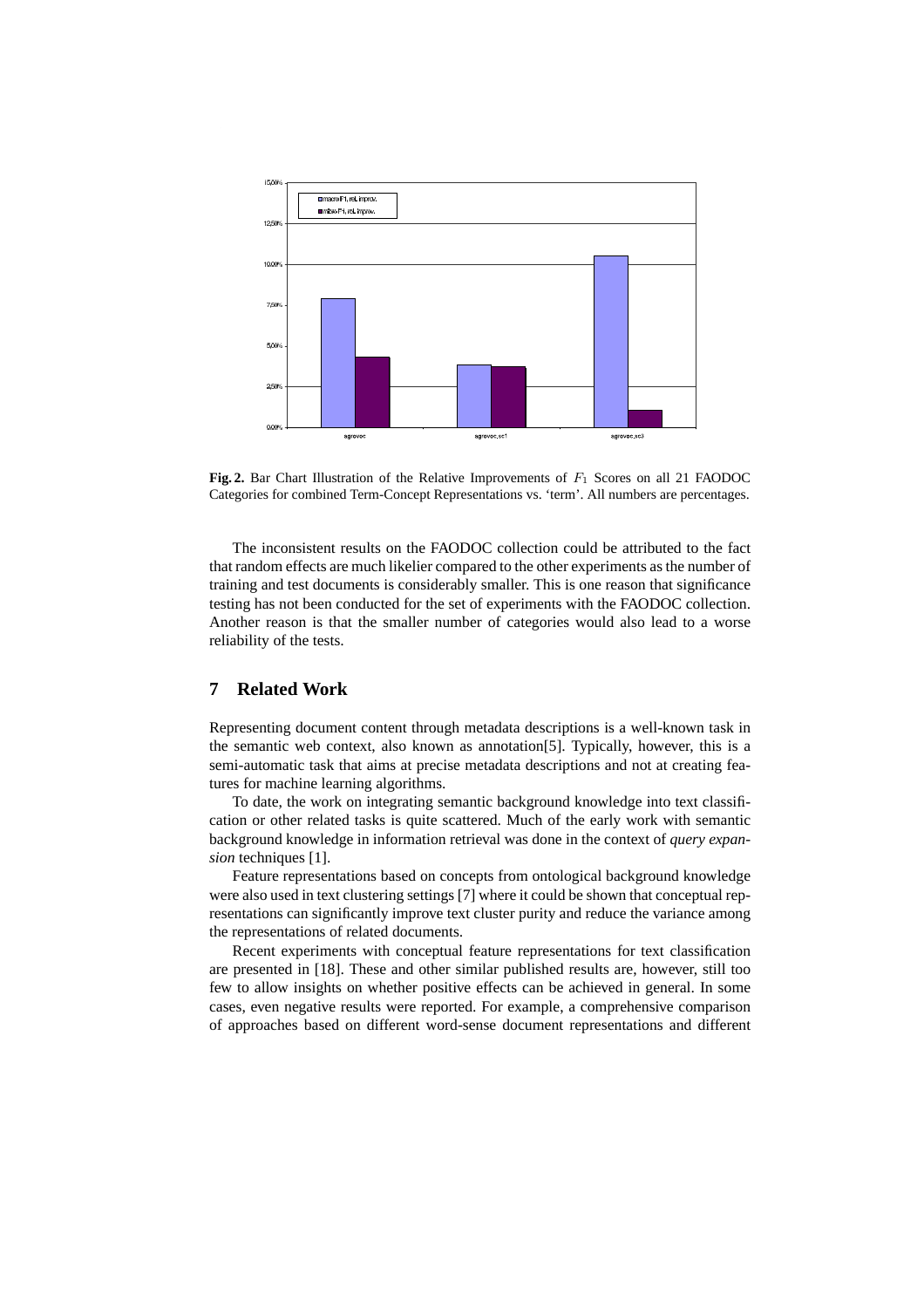

**Fig. 2.** Bar Chart Illustration of the Relative Improvements of  $F_1$  Scores on all 21 FAODOC Categories for combined Term-Concept Representations vs. 'term'. All numbers are percentages.

The inconsistent results on the FAODOC collection could be attributed to the fact that random effects are much likelier compared to the other experiments as the number of training and test documents is considerably smaller. This is one reason that significance testing has not been conducted for the set of experiments with the FAODOC collection. Another reason is that the smaller number of categories would also lead to a worse reliability of the tests.

## **7 Related Work**

Representing document content through metadata descriptions is a well-known task in the semantic web context, also known as annotation[5]. Typically, however, this is a semi-automatic task that aims at precise metadata descriptions and not at creating features for machine learning algorithms.

To date, the work on integrating semantic background knowledge into text classification or other related tasks is quite scattered. Much of the early work with semantic background knowledge in information retrieval was done in the context of *query expansion* techniques [1].

Feature representations based on concepts from ontological background knowledge were also used in text clustering settings [7] where it could be shown that conceptual representations can significantly improve text cluster purity and reduce the variance among the representations of related documents.

Recent experiments with conceptual feature representations for text classification are presented in [18]. These and other similar published results are, however, still too few to allow insights on whether positive effects can be achieved in general. In some cases, even negative results were reported. For example, a comprehensive comparison of approaches based on different word-sense document representations and different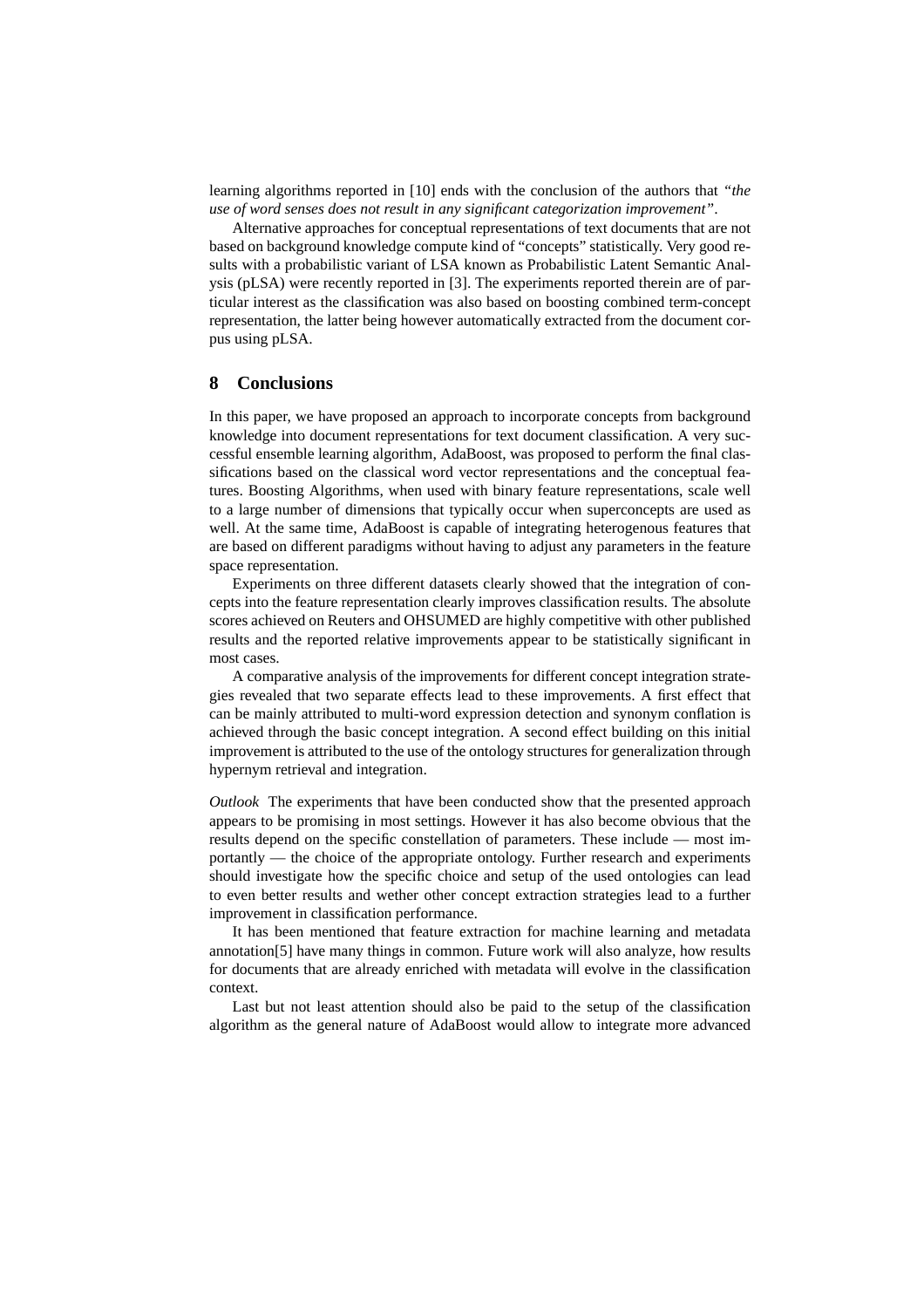learning algorithms reported in [10] ends with the conclusion of the authors that *"the use of word senses does not result in any significant categorization improvement"*.

Alternative approaches for conceptual representations of text documents that are not based on background knowledge compute kind of "concepts" statistically. Very good results with a probabilistic variant of LSA known as Probabilistic Latent Semantic Analysis (pLSA) were recently reported in [3]. The experiments reported therein are of particular interest as the classification was also based on boosting combined term-concept representation, the latter being however automatically extracted from the document corpus using pLSA.

### **8 Conclusions**

In this paper, we have proposed an approach to incorporate concepts from background knowledge into document representations for text document classification. A very successful ensemble learning algorithm, AdaBoost, was proposed to perform the final classifications based on the classical word vector representations and the conceptual features. Boosting Algorithms, when used with binary feature representations, scale well to a large number of dimensions that typically occur when superconcepts are used as well. At the same time, AdaBoost is capable of integrating heterogenous features that are based on different paradigms without having to adjust any parameters in the feature space representation.

Experiments on three different datasets clearly showed that the integration of concepts into the feature representation clearly improves classification results. The absolute scores achieved on Reuters and OHSUMED are highly competitive with other published results and the reported relative improvements appear to be statistically significant in most cases.

A comparative analysis of the improvements for different concept integration strategies revealed that two separate effects lead to these improvements. A first effect that can be mainly attributed to multi-word expression detection and synonym conflation is achieved through the basic concept integration. A second effect building on this initial improvement is attributed to the use of the ontology structures for generalization through hypernym retrieval and integration.

*Outlook* The experiments that have been conducted show that the presented approach appears to be promising in most settings. However it has also become obvious that the results depend on the specific constellation of parameters. These include — most importantly — the choice of the appropriate ontology. Further research and experiments should investigate how the specific choice and setup of the used ontologies can lead to even better results and wether other concept extraction strategies lead to a further improvement in classification performance.

It has been mentioned that feature extraction for machine learning and metadata annotation[5] have many things in common. Future work will also analyze, how results for documents that are already enriched with metadata will evolve in the classification context.

Last but not least attention should also be paid to the setup of the classification algorithm as the general nature of AdaBoost would allow to integrate more advanced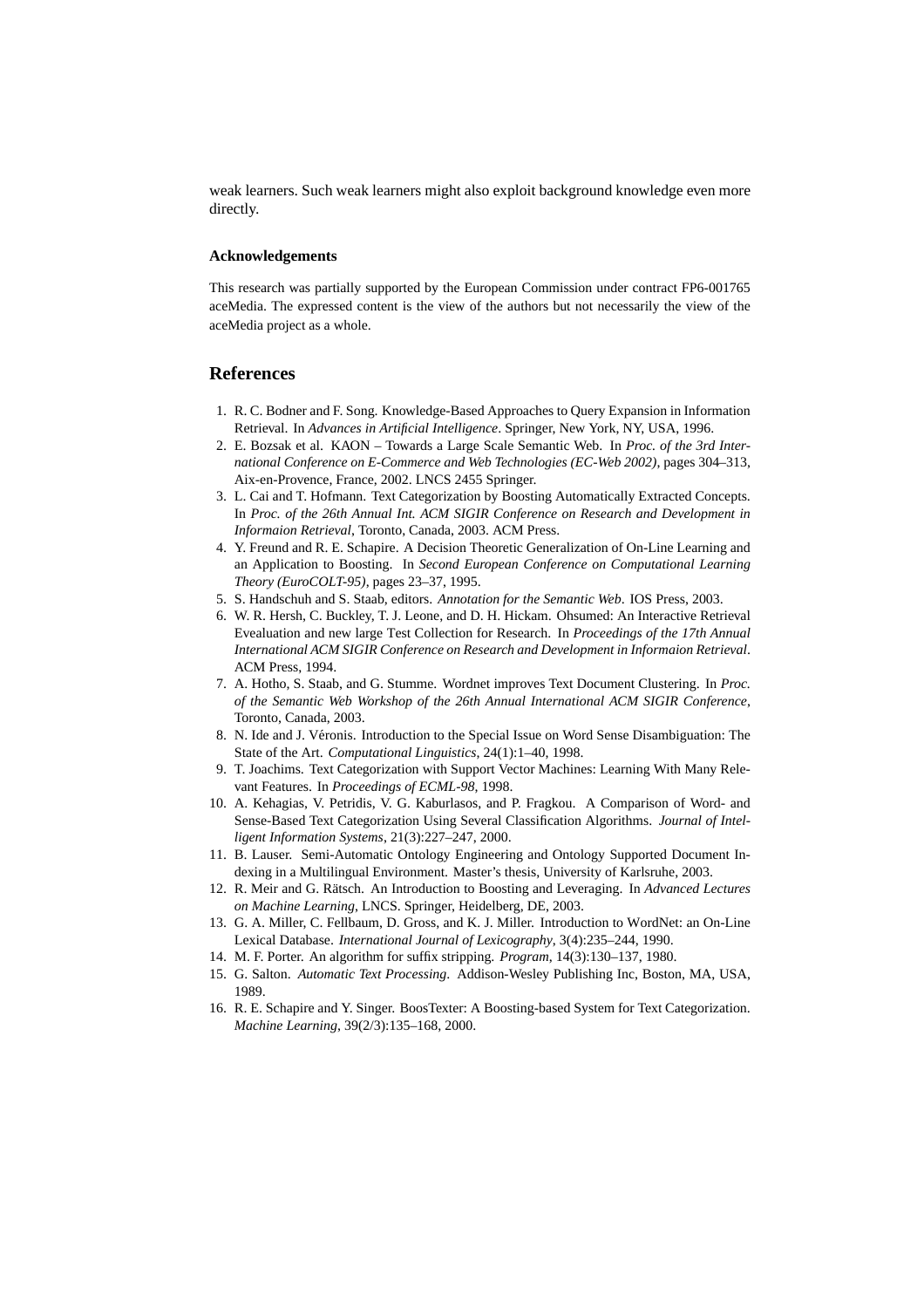weak learners. Such weak learners might also exploit background knowledge even more directly.

#### **Acknowledgements**

This research was partially supported by the European Commission under contract FP6-001765 aceMedia. The expressed content is the view of the authors but not necessarily the view of the aceMedia project as a whole.

### **References**

- 1. R. C. Bodner and F. Song. Knowledge-Based Approaches to Query Expansion in Information Retrieval. In *Advances in Artificial Intelligence*. Springer, New York, NY, USA, 1996.
- 2. E. Bozsak et al. KAON Towards a Large Scale Semantic Web. In *Proc. of the 3rd International Conference on E-Commerce and Web Technologies (EC-Web 2002)*, pages 304–313, Aix-en-Provence, France, 2002. LNCS 2455 Springer.
- 3. L. Cai and T. Hofmann. Text Categorization by Boosting Automatically Extracted Concepts. In *Proc. of the 26th Annual Int. ACM SIGIR Conference on Research and Development in Informaion Retrieval*, Toronto, Canada, 2003. ACM Press.
- 4. Y. Freund and R. E. Schapire. A Decision Theoretic Generalization of On-Line Learning and an Application to Boosting. In *Second European Conference on Computational Learning Theory (EuroCOLT-95)*, pages 23–37, 1995.
- 5. S. Handschuh and S. Staab, editors. *Annotation for the Semantic Web*. IOS Press, 2003.
- 6. W. R. Hersh, C. Buckley, T. J. Leone, and D. H. Hickam. Ohsumed: An Interactive Retrieval Evealuation and new large Test Collection for Research. In *Proceedings of the 17th Annual International ACM SIGIR Conference on Research and Development in Informaion Retrieval*. ACM Press, 1994.
- 7. A. Hotho, S. Staab, and G. Stumme. Wordnet improves Text Document Clustering. In *Proc. of the Semantic Web Workshop of the 26th Annual International ACM SIGIR Conference*, Toronto, Canada, 2003.
- 8. N. Ide and J. Veronis. Introduction to the Special Issue on Word Sense Disambiguation: The ´ State of the Art. *Computational Linguistics*, 24(1):1–40, 1998.
- 9. T. Joachims. Text Categorization with Support Vector Machines: Learning With Many Relevant Features. In *Proceedings of ECML-98*, 1998.
- 10. A. Kehagias, V. Petridis, V. G. Kaburlasos, and P. Fragkou. A Comparison of Word- and Sense-Based Text Categorization Using Several Classification Algorithms. *Journal of Intelligent Information Systems*, 21(3):227–247, 2000.
- 11. B. Lauser. Semi-Automatic Ontology Engineering and Ontology Supported Document Indexing in a Multilingual Environment. Master's thesis, University of Karlsruhe, 2003.
- 12. R. Meir and G. Rätsch. An Introduction to Boosting and Leveraging. In *Advanced Lectures on Machine Learning*, LNCS. Springer, Heidelberg, DE, 2003.
- 13. G. A. Miller, C. Fellbaum, D. Gross, and K. J. Miller. Introduction to WordNet: an On-Line Lexical Database. *International Journal of Lexicography*, 3(4):235–244, 1990.
- 14. M. F. Porter. An algorithm for suffix stripping. *Program*, 14(3):130–137, 1980.
- 15. G. Salton. *Automatic Text Processing*. Addison-Wesley Publishing Inc, Boston, MA, USA, 1989.
- 16. R. E. Schapire and Y. Singer. BoosTexter: A Boosting-based System for Text Categorization. *Machine Learning*, 39(2/3):135–168, 2000.